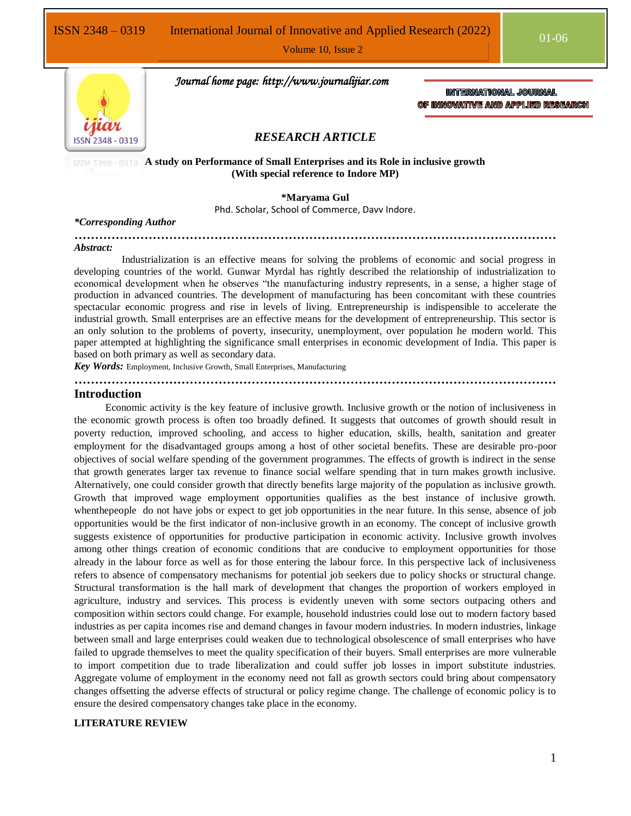Volume 10, Issue 2



 *Journal home page: http://www.journalijiar.com*

INTERNATIONAL JOURNAL OF INNOVATIVE AND APPLIED RESEARCH

# *RESEARCH ARTICLE*

## **A study on Performance of Small Enterprises and its Role in inclusive growth (With special reference to Indore MP)**

**\*Maryama Gul**

Phd. Scholar, School of Commerce, Davv Indore.

#### *\*Corresponding Author*

**………………………………………………………………………………………………………** *Abstract:*

 Industrialization is an effective means for solving the problems of economic and social progress in developing countries of the world. Gunwar Myrdal has rightly described the relationship of industrialization to economical development when he observes "the manufacturing industry represents, in a sense, a higher stage of production in advanced countries. The development of manufacturing has been concomitant with these countries spectacular economic progress and rise in levels of living. Entrepreneurship is indispensible to accelerate the industrial growth. Small enterprises are an effective means for the development of entrepreneurship. This sector is an only solution to the problems of poverty, insecurity, unemployment, over population he modern world. This paper attempted at highlighting the significance small enterprises in economic development of India. This paper is based on both primary as well as secondary data.

**………………………………………………………………………………………………………**

*Key Words:* Employment, Inclusive Growth, Small Enterprises, Manufacturing

#### **Introduction**

 Economic activity is the key feature of inclusive growth. Inclusive growth or the notion of inclusiveness in the economic growth process is often too broadly defined. It suggests that outcomes of growth should result in poverty reduction, improved schooling, and access to higher education, skills, health, sanitation and greater employment for the disadvantaged groups among a host of other societal benefits. These are desirable pro-poor objectives of social welfare spending of the government programmes. The effects of growth is indirect in the sense that growth generates larger tax revenue to finance social welfare spending that in turn makes growth inclusive. Alternatively, one could consider growth that directly benefits large majority of the population as inclusive growth. Growth that improved wage employment opportunities qualifies as the best instance of inclusive growth. whenthepeople do not have jobs or expect to get job opportunities in the near future. In this sense, absence of job opportunities would be the first indicator of non-inclusive growth in an economy. The concept of inclusive growth suggests existence of opportunities for productive participation in economic activity. Inclusive growth involves among other things creation of economic conditions that are conducive to employment opportunities for those already in the labour force as well as for those entering the labour force. In this perspective lack of inclusiveness refers to absence of compensatory mechanisms for potential job seekers due to policy shocks or structural change. Structural transformation is the hall mark of development that changes the proportion of workers employed in agriculture, industry and services. This process is evidently uneven with some sectors outpacing others and composition within sectors could change. For example, household industries could lose out to modern factory based industries as per capita incomes rise and demand changes in favour modern industries. In modern industries, linkage between small and large enterprises could weaken due to technological obsolescence of small enterprises who have failed to upgrade themselves to meet the quality specification of their buyers. Small enterprises are more vulnerable to import competition due to trade liberalization and could suffer job losses in import substitute industries. Aggregate volume of employment in the economy need not fall as growth sectors could bring about compensatory changes offsetting the adverse effects of structural or policy regime change. The challenge of economic policy is to ensure the desired compensatory changes take place in the economy.

## **LITERATURE REVIEW**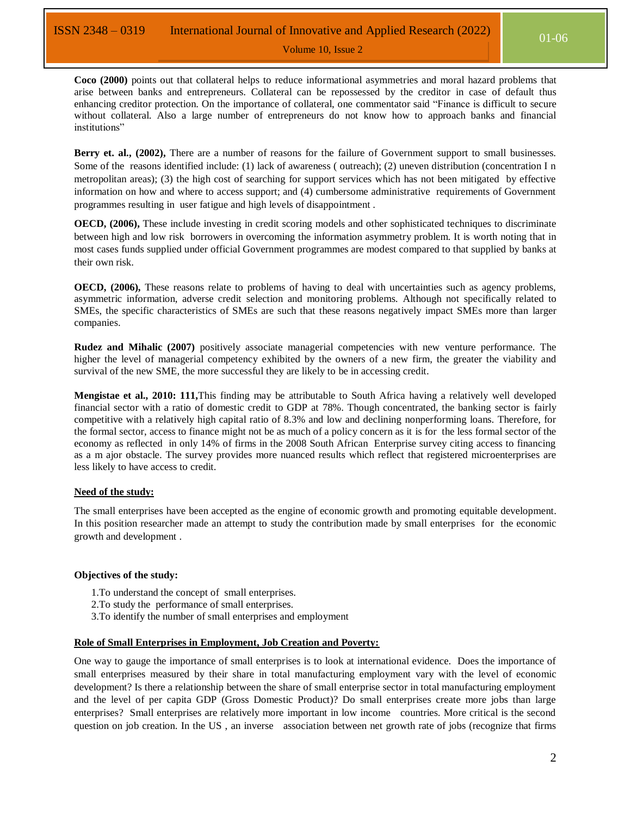**Coco (2000)** points out that collateral helps to reduce informational asymmetries and moral hazard problems that arise between banks and entrepreneurs. Collateral can be repossessed by the creditor in case of default thus enhancing creditor protection. On the importance of collateral, one commentator said "Finance is difficult to secure without collateral. Also a large number of entrepreneurs do not know how to approach banks and financial institutions"

Volume 10, Issue 2

Berry et. al., (2002), There are a number of reasons for the failure of Government support to small businesses. Some of the reasons identified include: (1) lack of awareness ( outreach); (2) uneven distribution (concentration I n metropolitan areas); (3) the high cost of searching for support services which has not been mitigated by effective information on how and where to access support; and (4) cumbersome administrative requirements of Government programmes resulting in user fatigue and high levels of disappointment .

**OECD, (2006),** These include investing in credit scoring models and other sophisticated techniques to discriminate between high and low risk borrowers in overcoming the information asymmetry problem. It is worth noting that in most cases funds supplied under official Government programmes are modest compared to that supplied by banks at their own risk.

**OECD, (2006),** These reasons relate to problems of having to deal with uncertainties such as agency problems, asymmetric information, adverse credit selection and monitoring problems. Although not specifically related to SMEs, the specific characteristics of SMEs are such that these reasons negatively impact SMEs more than larger companies.

**Rudez and Mihalic (2007)** positively associate managerial competencies with new venture performance. The higher the level of managerial competency exhibited by the owners of a new firm, the greater the viability and survival of the new SME, the more successful they are likely to be in accessing credit.

**Mengistae et al., 2010: 111,**This finding may be attributable to South Africa having a relatively well developed financial sector with a ratio of domestic credit to GDP at 78%. Though concentrated, the banking sector is fairly competitive with a relatively high capital ratio of 8.3% and low and declining nonperforming loans. Therefore, for the formal sector, access to finance might not be as much of a policy concern as it is for the less formal sector of the economy as reflected in only 14% of firms in the 2008 South African Enterprise survey citing access to financing as a m ajor obstacle. The survey provides more nuanced results which reflect that registered microenterprises are less likely to have access to credit.

# **Need of the study:**

The small enterprises have been accepted as the engine of economic growth and promoting equitable development. In this position researcher made an attempt to study the contribution made by small enterprises for the economic growth and development .

# **Objectives of the study:**

- 1.To understand the concept of small enterprises.
- 2.To study the performance of small enterprises.
- 3.To identify the number of small enterprises and employment

# **Role of Small Enterprises in Employment, Job Creation and Poverty:**

One way to gauge the importance of small enterprises is to look at international evidence. Does the importance of small enterprises measured by their share in total manufacturing employment vary with the level of economic development? Is there a relationship between the share of small enterprise sector in total manufacturing employment and the level of per capita GDP (Gross Domestic Product)? Do small enterprises create more jobs than large enterprises? Small enterprises are relatively more important in low income countries. More critical is the second question on job creation. In the US , an inverse association between net growth rate of jobs (recognize that firms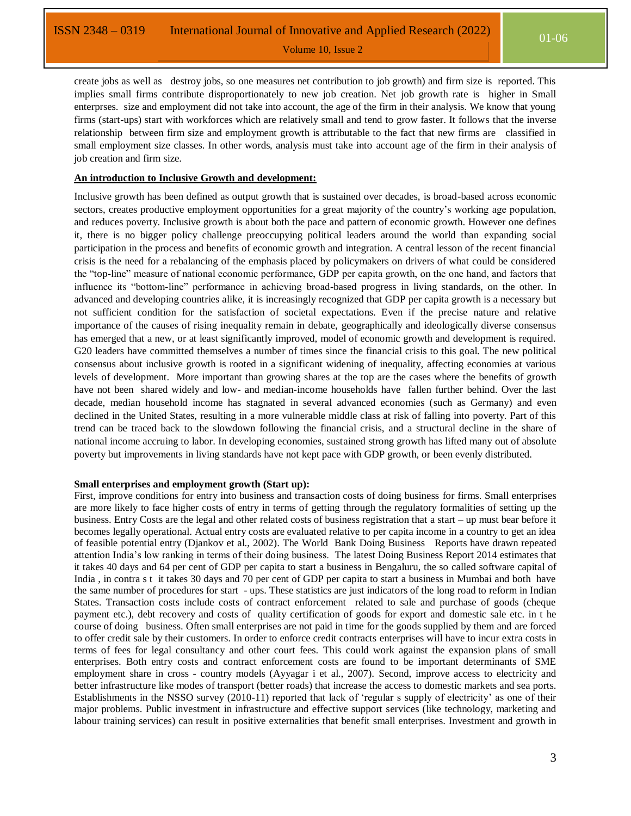create jobs as well as destroy jobs, so one measures net contribution to job growth) and firm size is reported. This implies small firms contribute disproportionately to new job creation. Net job growth rate is higher in Small enterprses. size and employment did not take into account, the age of the firm in their analysis. We know that young firms (start-ups) start with workforces which are relatively small and tend to grow faster. It follows that the inverse relationship between firm size and employment growth is attributable to the fact that new firms are classified in small employment size classes. In other words, analysis must take into account age of the firm in their analysis of job creation and firm size.

Volume 10, Issue 2

# **An introduction to Inclusive Growth and development:**

Inclusive growth has been defined as output growth that is sustained over decades, is broad-based across economic sectors, creates productive employment opportunities for a great majority of the country's working age population, and reduces poverty. Inclusive growth is about both the pace and pattern of economic growth. However one defines it, there is no bigger policy challenge preoccupying political leaders around the world than expanding social participation in the process and benefits of economic growth and integration. A central lesson of the recent financial crisis is the need for a rebalancing of the emphasis placed by policymakers on drivers of what could be considered the "top-line" measure of national economic performance, GDP per capita growth, on the one hand, and factors that influence its "bottom-line" performance in achieving broad-based progress in living standards, on the other. In advanced and developing countries alike, it is increasingly recognized that GDP per capita growth is a necessary but not sufficient condition for the satisfaction of societal expectations. Even if the precise nature and relative importance of the causes of rising inequality remain in debate, geographically and ideologically diverse consensus has emerged that a new, or at least significantly improved, model of economic growth and development is required. G20 leaders have committed themselves a number of times since the financial crisis to this goal. The new political consensus about inclusive growth is rooted in a significant widening of inequality, affecting economies at various levels of development. More important than growing shares at the top are the cases where the benefits of growth have not been shared widely and low- and median-income households have fallen further behind. Over the last decade, median household income has stagnated in several advanced economies (such as Germany) and even declined in the United States, resulting in a more vulnerable middle class at risk of falling into poverty. Part of this trend can be traced back to the slowdown following the financial crisis, and a structural decline in the share of national income accruing to labor. In developing economies, sustained strong growth has lifted many out of absolute poverty but improvements in living standards have not kept pace with GDP growth, or been evenly distributed.

#### **Small enterprises and employment growth (Start up):**

First, improve conditions for entry into business and transaction costs of doing business for firms. Small enterprises are more likely to face higher costs of entry in terms of getting through the regulatory formalities of setting up the business. Entry Costs are the legal and other related costs of business registration that a start – up must bear before it becomes legally operational. Actual entry costs are evaluated relative to per capita income in a country to get an idea of feasible potential entry (Djankov et al., 2002). The World Bank Doing Business Reports have drawn repeated attention India"s low ranking in terms of their doing business. The latest Doing Business Report 2014 estimates that it takes 40 days and 64 per cent of GDP per capita to start a business in Bengaluru, the so called software capital of India , in contra s t it takes 30 days and 70 per cent of GDP per capita to start a business in Mumbai and both have the same number of procedures for start - ups. These statistics are just indicators of the long road to reform in Indian States. Transaction costs include costs of contract enforcement related to sale and purchase of goods (cheque payment etc.), debt recovery and costs of quality certification of goods for export and domestic sale etc. in t he course of doing business. Often small enterprises are not paid in time for the goods supplied by them and are forced to offer credit sale by their customers. In order to enforce credit contracts enterprises will have to incur extra costs in terms of fees for legal consultancy and other court fees. This could work against the expansion plans of small enterprises. Both entry costs and contract enforcement costs are found to be important determinants of SME employment share in cross - country models (Ayyagar i et al., 2007). Second, improve access to electricity and better infrastructure like modes of transport (better roads) that increase the access to domestic markets and sea ports. Establishments in the NSSO survey (2010-11) reported that lack of "regular s supply of electricity" as one of their major problems. Public investment in infrastructure and effective support services (like technology, marketing and labour training services) can result in positive externalities that benefit small enterprises. Investment and growth in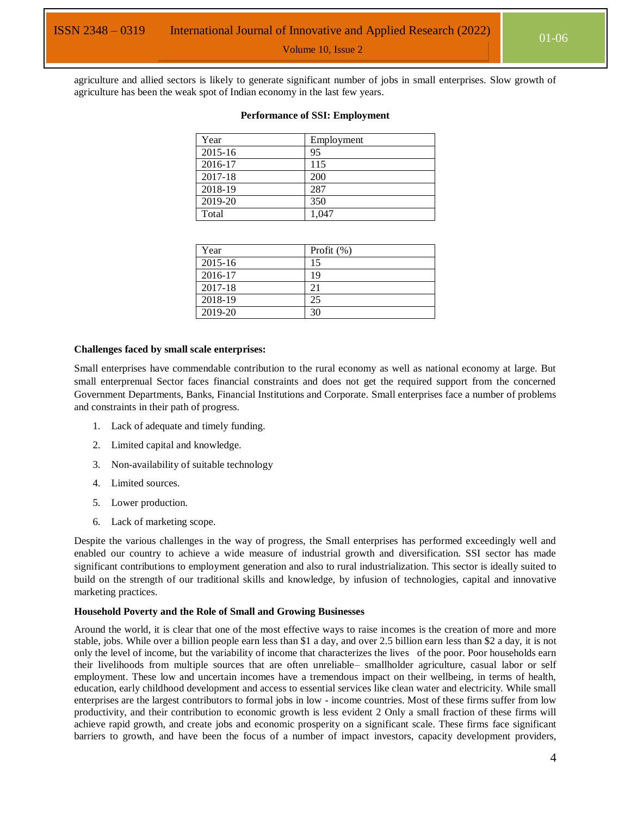Volume 10, Issue 2

agriculture and allied sectors is likely to generate significant number of jobs in small enterprises. Slow growth of agriculture has been the weak spot of Indian economy in the last few years.

| Year        | Employment |
|-------------|------------|
| $2015 - 16$ | 95         |
| 2016-17     | 115        |
| 2017-18     | 200        |
| 2018-19     | 287        |
| 2019-20     | 350        |
| Total       | 1.047      |

#### **Performance of SSI: Employment**

| Year    | Profit $(\%)$ |
|---------|---------------|
| 2015-16 | 15            |
| 2016-17 | 19            |
| 2017-18 | 21            |
| 2018-19 | 25            |
| 2019-20 | 30            |

#### **Challenges faced by small scale enterprises:**

Small enterprises have commendable contribution to the rural economy as well as national economy at large. But small enterprenual Sector faces financial constraints and does not get the required support from the concerned Government Departments, Banks, Financial Institutions and Corporate. Small enterprises face a number of problems and constraints in their path of progress.

- 1. Lack of adequate and timely funding.
- 2. Limited capital and knowledge.
- 3. Non-availability of suitable technology
- 4. Limited sources.
- 5. Lower production.
- 6. Lack of marketing scope.

Despite the various challenges in the way of progress, the Small enterprises has performed exceedingly well and enabled our country to achieve a wide measure of industrial growth and diversification. SSI sector has made significant contributions to employment generation and also to rural industrialization. This sector is ideally suited to build on the strength of our traditional skills and knowledge, by infusion of technologies, capital and innovative marketing practices.

#### **Household Poverty and the Role of Small and Growing Businesses**

Around the world, it is clear that one of the most effective ways to raise incomes is the creation of more and more stable, jobs. While over a billion people earn less than \$1 a day, and over 2.5 billion earn less than \$2 a day, it is not only the level of income, but the variability of income that characterizes the lives of the poor. Poor households earn their livelihoods from multiple sources that are often unreliable– smallholder agriculture, casual labor or self employment. These low and uncertain incomes have a tremendous impact on their wellbeing, in terms of health, education, early childhood development and access to essential services like clean water and electricity. While small enterprises are the largest contributors to formal jobs in low - income countries. Most of these firms suffer from low productivity, and their contribution to economic growth is less evident 2 Only a small fraction of these firms will achieve rapid growth, and create jobs and economic prosperity on a significant scale. These firms face significant barriers to growth, and have been the focus of a number of impact investors, capacity development providers,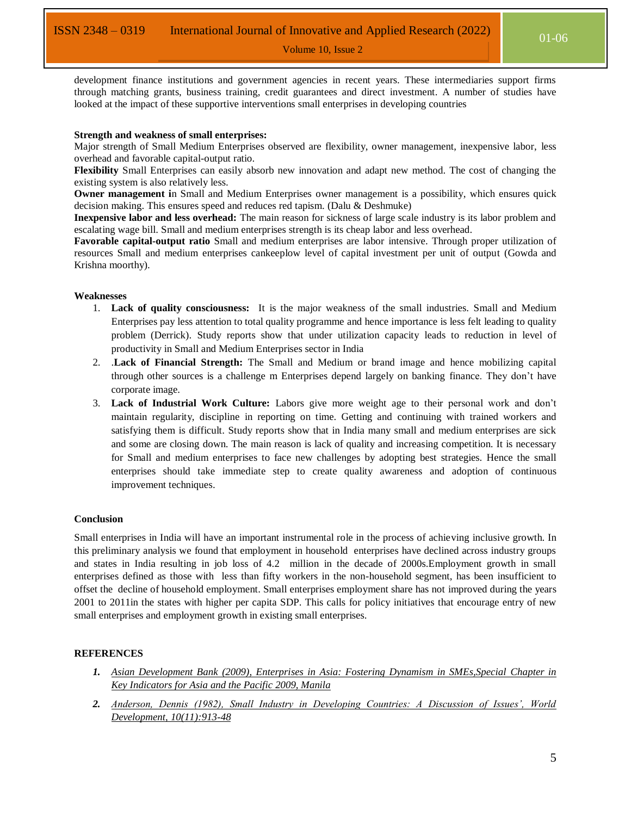Volume 10, Issue 2

development finance institutions and government agencies in recent years. These intermediaries support firms through matching grants, business training, credit guarantees and direct investment. A number of studies have looked at the impact of these supportive interventions small enterprises in developing countries

# **Strength and weakness of small enterprises:**

Major strength of Small Medium Enterprises observed are flexibility, owner management, inexpensive labor, less overhead and favorable capital-output ratio.

**Flexibility** Small Enterprises can easily absorb new innovation and adapt new method. The cost of changing the existing system is also relatively less.

**Owner management i**n Small and Medium Enterprises owner management is a possibility, which ensures quick decision making. This ensures speed and reduces red tapism. (Dalu & Deshmuke)

**Inexpensive labor and less overhead:** The main reason for sickness of large scale industry is its labor problem and escalating wage bill. Small and medium enterprises strength is its cheap labor and less overhead.

**Favorable capital-output ratio** Small and medium enterprises are labor intensive. Through proper utilization of resources Small and medium enterprises cankeeplow level of capital investment per unit of output (Gowda and Krishna moorthy).

### **Weaknesses**

- 1. **Lack of quality consciousness:** It is the major weakness of the small industries. Small and Medium Enterprises pay less attention to total quality programme and hence importance is less felt leading to quality problem (Derrick). Study reports show that under utilization capacity leads to reduction in level of productivity in Small and Medium Enterprises sector in India
- 2. .**Lack of Financial Strength:** The Small and Medium or brand image and hence mobilizing capital through other sources is a challenge m Enterprises depend largely on banking finance. They don"t have corporate image.
- 3. **Lack of Industrial Work Culture:** Labors give more weight age to their personal work and don"t maintain regularity, discipline in reporting on time. Getting and continuing with trained workers and satisfying them is difficult. Study reports show that in India many small and medium enterprises are sick and some are closing down. The main reason is lack of quality and increasing competition. It is necessary for Small and medium enterprises to face new challenges by adopting best strategies. Hence the small enterprises should take immediate step to create quality awareness and adoption of continuous improvement techniques.

# **Conclusion**

Small enterprises in India will have an important instrumental role in the process of achieving inclusive growth. In this preliminary analysis we found that employment in household enterprises have declined across industry groups and states in India resulting in job loss of 4.2 million in the decade of 2000s.Employment growth in small enterprises defined as those with less than fifty workers in the non-household segment, has been insufficient to offset the decline of household employment. Small enterprises employment share has not improved during the years 2001 to 2011in the states with higher per capita SDP. This calls for policy initiatives that encourage entry of new small enterprises and employment growth in existing small enterprises.

# **REFERENCES**

- *1. Asian Development Bank (2009), Enterprises in Asia: Fostering Dynamism in SMEs,Special Chapter in Key Indicators for Asia and the Pacific 2009, Manila*
- *2. Anderson, Dennis (1982), Small Industry in Developing Countries: A Discussion of Issues', World Development, 10(11):913-48*